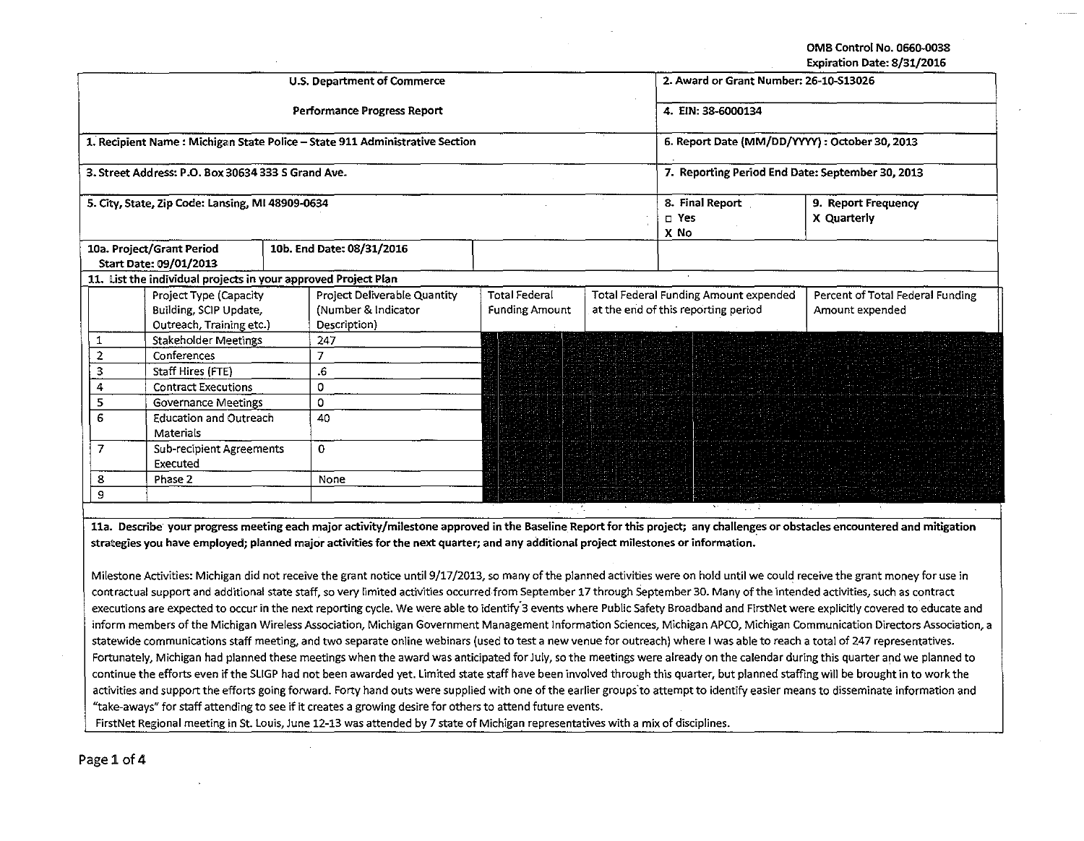OMB Control No. 0660-0038

Expiration Date: 8/31/2016

|                                    |                                                                |    |                                                                              |                                                |  |                                                  | LAD . auon Date. 0/31/2010       |  |  |
|------------------------------------|----------------------------------------------------------------|----|------------------------------------------------------------------------------|------------------------------------------------|--|--------------------------------------------------|----------------------------------|--|--|
|                                    |                                                                |    | U.S. Department of Commerce                                                  | 2. Award or Grant Number: 26-10-S13026         |  |                                                  |                                  |  |  |
|                                    |                                                                |    | <b>Performance Progress Report</b>                                           | 4. EIN: 38-6000134                             |  |                                                  |                                  |  |  |
|                                    |                                                                |    | 1. Recipient Name : Michigan State Police - State 911 Administrative Section | 6. Report Date (MM/DD/YYYY) : October 30, 2013 |  |                                                  |                                  |  |  |
|                                    | 3. Street Address: P.O. Box 30634 333 S Grand Ave.             |    |                                                                              |                                                |  | 7. Reporting Period End Date: September 30, 2013 |                                  |  |  |
|                                    | 5. City, State, Zip Code: Lansing, MI 48909-0634               |    |                                                                              |                                                |  | 8. Final Report                                  | 9. Report Frequency              |  |  |
|                                    |                                                                |    |                                                                              |                                                |  | $\square$ Yes                                    | X Quarterly                      |  |  |
|                                    |                                                                |    |                                                                              |                                                |  | X No                                             |                                  |  |  |
|                                    | 10a. Project/Grant Period                                      |    | 10b. End Date: 08/31/2016                                                    |                                                |  |                                                  |                                  |  |  |
|                                    | Start Date: 09/01/2013                                         |    |                                                                              |                                                |  |                                                  |                                  |  |  |
|                                    | 11. List the individual projects in your approved Project Plan |    |                                                                              |                                                |  |                                                  |                                  |  |  |
|                                    | Project Type (Capacity                                         |    | Project Deliverable Quantity                                                 | <b>Total Federal</b>                           |  | <b>Total Federal Funding Amount expended</b>     | Percent of Total Federal Funding |  |  |
|                                    | Building, SCIP Update,                                         |    | (Number & Indicator                                                          | <b>Funding Amount</b>                          |  | at the end of this reporting period              | Amount expended                  |  |  |
|                                    | Outreach, Training etc.)                                       |    | Description)                                                                 |                                                |  |                                                  |                                  |  |  |
| 1                                  | Stakeholder Meetings                                           |    | 247                                                                          |                                                |  |                                                  |                                  |  |  |
| 2                                  | Conferences                                                    |    | $\overline{7}$                                                               |                                                |  |                                                  |                                  |  |  |
| 3                                  | Staff Hires (FTE)                                              |    | .6                                                                           |                                                |  |                                                  |                                  |  |  |
|                                    | <b>Contract Executions</b>                                     |    | 0                                                                            |                                                |  |                                                  |                                  |  |  |
| 5                                  | <b>Governance Meetings</b>                                     |    | 0                                                                            |                                                |  |                                                  |                                  |  |  |
| 6<br><b>Education and Outreach</b> |                                                                | 40 |                                                                              |                                                |  |                                                  |                                  |  |  |
|                                    | Materials                                                      |    |                                                                              |                                                |  |                                                  |                                  |  |  |
| $\overline{7}$                     | <b>Sub-recipient Agreements</b>                                |    | $\mathbf 0$                                                                  |                                                |  |                                                  |                                  |  |  |
| Executed                           |                                                                |    |                                                                              |                                                |  |                                                  |                                  |  |  |
| 8                                  | Phase 2                                                        |    | None                                                                         |                                                |  |                                                  |                                  |  |  |
| 9                                  |                                                                |    |                                                                              |                                                |  |                                                  |                                  |  |  |

11a. Describe your progress strategies you have employed; planned major activities for the next quarter; and any additional project milestones or information.

Milestone Activities: Michigan did not receive the grant notice until 9/17/2013, so many of the planned activities were on hold until we could receive the grant money for use in contractual support and additional state staff, so very limited activities occurred·from September 17 through September 30. Many of the intended activities, such as contract executions are expected to occur in the next reporting cycle. We were able to identify 3 events where Public Safety Broadband and FirstNet were explicitly covered to educate and inform members of the Michigan Wireless Association, Michigan Government Management Information Sciences, Michigan APCO, Michigan Communication Directors Association, a statewide communications staff meeting, and two separate online webinars (used to test a new venue for outreach) where I was able to reach a total of 247 representatives. Fortunately, Michigan had planned these meetings when the award was anticipated for July, so the meetings were already on the calendar during this quarter and we planned to continue the efforts even if the SLIGP had not been awarded yet. Limited state staff have been involved through this quarter, but planned staffing will be brought in to work the activities and support the efforts going forward. Forty hand outs were supplied with one of the earlier groups to attempt to identify easier means to disseminate information and "take-aways" for staff attending to see if it creates a growing desire for others to attend future events.

FirstNet Regional meeting in St. Louis, June 12-13 was attended by 7 state of Michigan representatives with a mix of disciplines.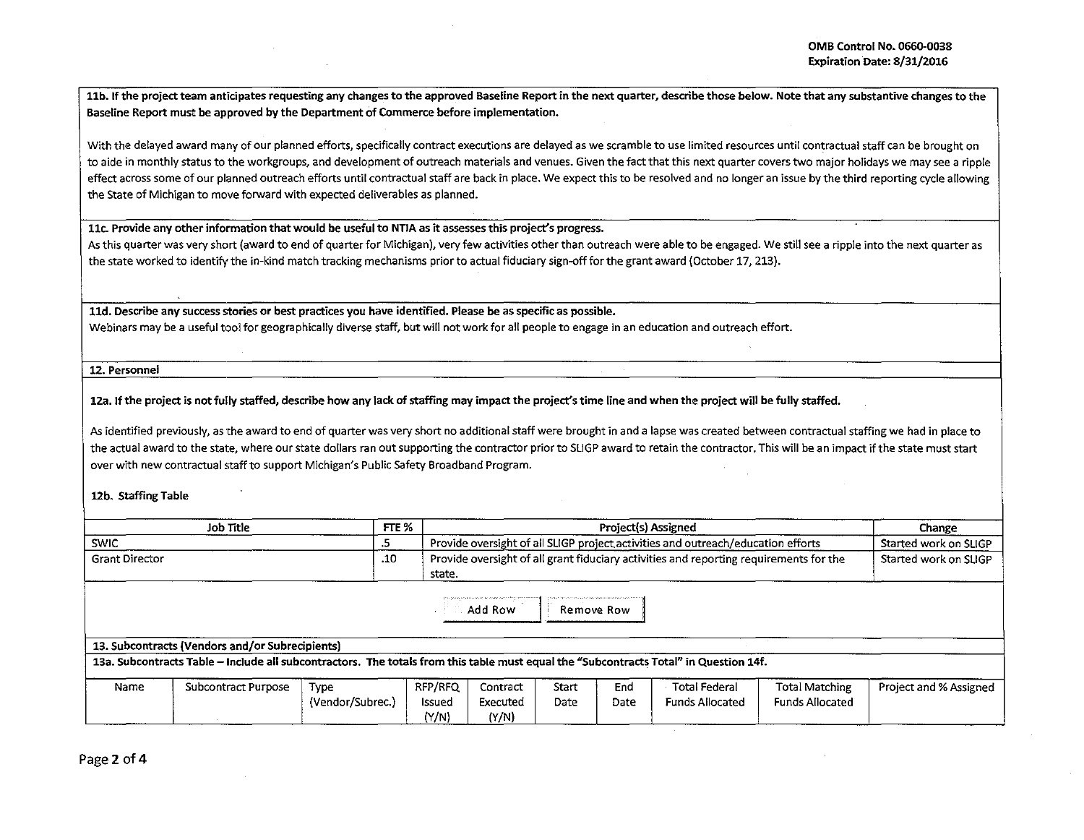11b. If the project team anticipates requesting any changes to the approved Baseline Report in the next quarter, describe those below. Note that any substantive changes to the Baseline Report must be approved by the Department of Commerce before implementation.

With the delayed award many of our planned efforts, specifically contract executions are delayed as we scramble to use limited resources until contractual staff can be brought on to aide in monthly status to the workgroups, and development of outreach materials and venues. Given the fact that this next quarter covers two major holidays we may see a ripple effect across some of our planned outreach efforts until contractual staff are back in place. We expect this to be resolved and no longer an issue by the third reporting cycle allowing the State of Michigan to move forward with expected deliverables as planned.

llc. Provide cmy other information that would be useful to NTIA as it assesses this project's progress.

As this quarter was very short (award to end of quarter for Michigan), very few activities other than outreach were able to be engaged. We still see a ripple into the next quarter as the state worked to identify the in-kind match tracking mechanisms prior to actual fiduciary sign-off for the grant award (October 17, 213).

lld. Describe any success stories or best practices you have identified. Please be as specific as possible.

Webinars may be a useful tool for geographically diverse staff, but will not work for all people to engage in an education and outreach effort.

12. Personnel

12a. If the project is not fully staffed, describe how any lack of staffing may impact the project's time line and when the project will be fully staffed.

As identified previously, as the award to end of quarter was very short no additional staff were brought in and a lapse was created between contractual staffing we had in place to the actual award to the state, where our state dollars ran out supporting the contractor prior to SLIGP award to retain the contractor. This will be an impact if the state must start over with new contractual staff to support Michigan's Public Safety Broadband Program.

12b. Staffing Table

| Job Title      | FTE %                                                                                                   | Project(s) Assigned                                                              | Change                |  |
|----------------|---------------------------------------------------------------------------------------------------------|----------------------------------------------------------------------------------|-----------------------|--|
| <b>SWIC</b>    |                                                                                                         | Provide oversight of all SLIGP project activities and outreach/education efforts | Started work on SLIGP |  |
| Grant Director | Provide oversight of all grant fiduciary activities and reporting requirements for the<br>.10<br>state. |                                                                                  | Started work on SLIGP |  |
|                |                                                                                                         | Add Row<br>Remove Row                                                            |                       |  |

|  | 13. Subcontracts (Vendors and/or Subrecipients) |  |
|--|-------------------------------------------------|--|
|  |                                                 |  |

13a. Subcontracts Table -Include all subcontractors. The totals from this table must equal the "Subcontracts Total" in Question 14f.

| Name | Subcontract Purpose | Type             | RFP/RFQ | Contract | Start | End  | Total Federal          | Total Matching         | Project and % Assigned |
|------|---------------------|------------------|---------|----------|-------|------|------------------------|------------------------|------------------------|
|      |                     | (Vendor/Subrec.) | Issueg  | Executed | Date  | Date | <b>Funds Allocated</b> | <b>Funds Allocated</b> |                        |
|      |                     |                  | (N/N)   | (Y/N)    |       |      |                        |                        |                        |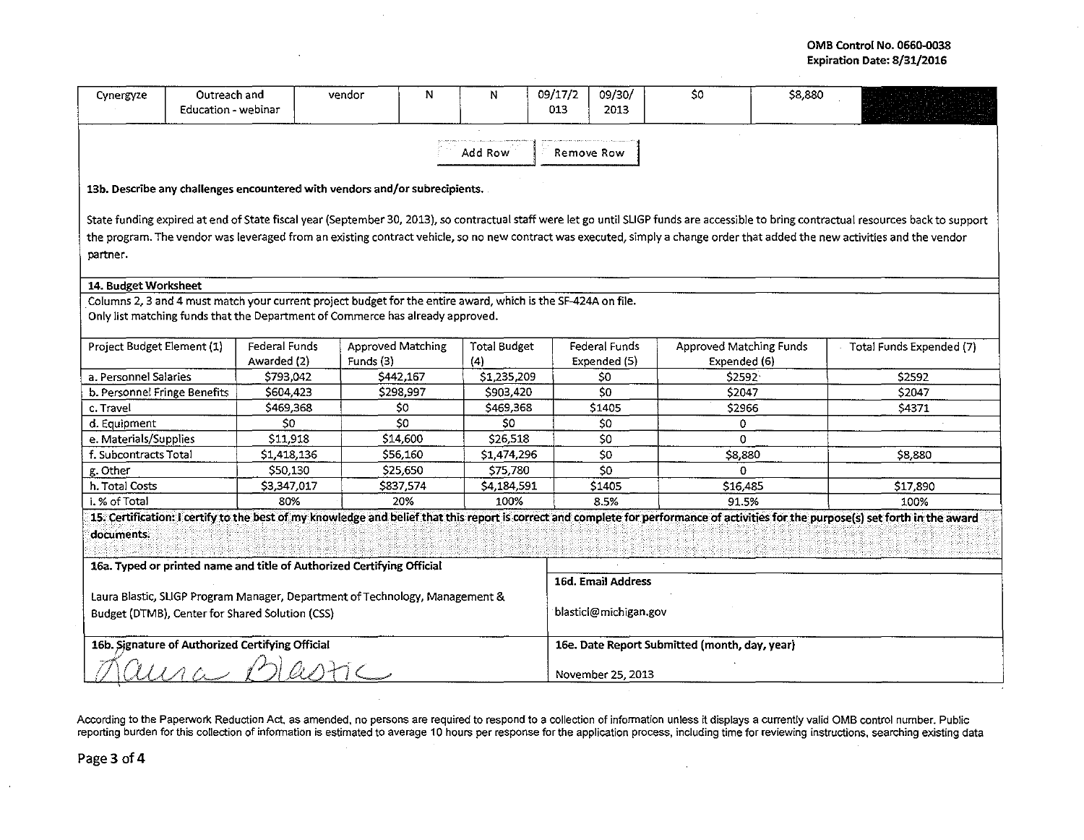## OMB Control No. 0660-0038 Expiration Date: 8/31/2016

| Cynergyze                                                                                                                                                                                                                                                                                                                                                                            | Outreach and<br>Education - webinar |                                                                             | vendor                                | N | N                          | 09/17/2<br>013        | 09/30/<br>2013                                | \$0                                     | \$8,880 |                          |  |  |
|--------------------------------------------------------------------------------------------------------------------------------------------------------------------------------------------------------------------------------------------------------------------------------------------------------------------------------------------------------------------------------------|-------------------------------------|-----------------------------------------------------------------------------|---------------------------------------|---|----------------------------|-----------------------|-----------------------------------------------|-----------------------------------------|---------|--------------------------|--|--|
| Add Row<br>Remove Row                                                                                                                                                                                                                                                                                                                                                                |                                     |                                                                             |                                       |   |                            |                       |                                               |                                         |         |                          |  |  |
|                                                                                                                                                                                                                                                                                                                                                                                      |                                     | 13b. Describe any challenges encountered with vendors and/or subrecipients. |                                       |   |                            |                       |                                               |                                         |         |                          |  |  |
| State funding expired at end of State fiscal year (September 30, 2013), so contractual staff were let go until SLIGP funds are accessible to bring contractual resources back to support<br>the program. The vendor was leveraged from an existing contract vehicle, so no new contract was executed, simply a change order that added the new activities and the vendor<br>partner. |                                     |                                                                             |                                       |   |                            |                       |                                               |                                         |         |                          |  |  |
|                                                                                                                                                                                                                                                                                                                                                                                      | 14. Budget Worksheet                |                                                                             |                                       |   |                            |                       |                                               |                                         |         |                          |  |  |
| Columns 2, 3 and 4 must match your current project budget for the entire award, which is the SF-424A on file.<br>Only list matching funds that the Department of Commerce has already approved.                                                                                                                                                                                      |                                     |                                                                             |                                       |   |                            |                       |                                               |                                         |         |                          |  |  |
| Project Budget Element (1)                                                                                                                                                                                                                                                                                                                                                           |                                     | <b>Federal Funds</b><br>Awarded (2)                                         | <b>Approved Matching</b><br>Funds (3) |   | <b>Total Budget</b><br>(4) |                       | <b>Federal Funds</b><br>Expended (5)          | Approved Matching Funds<br>Expended (6) |         | Total Funds Expended (7) |  |  |
| a. Personnel Salaries                                                                                                                                                                                                                                                                                                                                                                |                                     | \$793,042                                                                   | S442,167                              |   | \$1,235,209                |                       | \$0                                           | \$2592                                  |         | \$2592                   |  |  |
| b. Personnel Fringe Benefits                                                                                                                                                                                                                                                                                                                                                         |                                     | \$604,423                                                                   | \$298,997                             |   | \$903,420                  |                       | \$0                                           | \$2047                                  |         | \$2047                   |  |  |
| c. Travel                                                                                                                                                                                                                                                                                                                                                                            |                                     | \$469,368                                                                   | \$0                                   |   | \$469,368                  |                       | \$1405                                        | \$2966                                  |         | \$4371                   |  |  |
| d. Equipment                                                                                                                                                                                                                                                                                                                                                                         |                                     | 50 <sub>2</sub>                                                             | \$0                                   |   | 50                         |                       | S <sub>0</sub>                                | 0                                       |         |                          |  |  |
| e. Materials/Supplies                                                                                                                                                                                                                                                                                                                                                                |                                     | S11,918                                                                     | \$14,600                              |   | \$26,518                   |                       | \$0                                           | 0                                       |         |                          |  |  |
| f. Subcontracts Total                                                                                                                                                                                                                                                                                                                                                                |                                     | \$1,418,136                                                                 | \$56,160                              |   | \$1,474,296                |                       | \$0                                           | \$8,880                                 |         | \$8,880                  |  |  |
| g. Other                                                                                                                                                                                                                                                                                                                                                                             |                                     | \$50,130                                                                    | \$25,650                              |   | \$75,780                   |                       | \$0                                           | $\Omega$                                |         |                          |  |  |
| h. Total Costs                                                                                                                                                                                                                                                                                                                                                                       |                                     | \$3,347.017                                                                 | \$837,574                             |   | \$4,184,591                |                       | S1405                                         | \$16,485                                |         | \$17,890                 |  |  |
| i. % of Total                                                                                                                                                                                                                                                                                                                                                                        |                                     | 80%                                                                         | 20%                                   |   | 100%                       |                       | 8.5%                                          | 91.5%                                   |         | 100%                     |  |  |
| 15. Certification: I certify to the best of my knowledge and belief that this report is correct and complete for performance of activities for the purpose(s) set forth in the award<br>documents.                                                                                                                                                                                   |                                     |                                                                             |                                       |   |                            |                       |                                               |                                         |         |                          |  |  |
| 16a. Typed or printed name and title of Authorized Certifying Official                                                                                                                                                                                                                                                                                                               |                                     |                                                                             |                                       |   |                            |                       | 16d. Email Address                            |                                         |         |                          |  |  |
| Laura Blastic, SLIGP Program Manager, Department of Technology, Management &<br>Budget (DTMB), Center for Shared Solution (CSS)                                                                                                                                                                                                                                                      |                                     |                                                                             |                                       |   |                            | blasticl@michigan.gov |                                               |                                         |         |                          |  |  |
| 16b. Signature of Authorized Certifying Official                                                                                                                                                                                                                                                                                                                                     |                                     |                                                                             |                                       |   |                            |                       | 16e. Date Report Submitted (month, day, year) |                                         |         |                          |  |  |
|                                                                                                                                                                                                                                                                                                                                                                                      |                                     |                                                                             |                                       |   |                            |                       | November 25, 2013                             |                                         |         |                          |  |  |

According to the Paperwork Reduction Act, as amended, no persons are required to respond to a collection of information unless it displays a currently valid OMB control number. Public reporting burden for this collection of information is estimated to average 10 hours per response for the application process, including time for reviewing instructions, searching existing data

 $\mathcal{A}^{\pm}$ 

 $\sim$